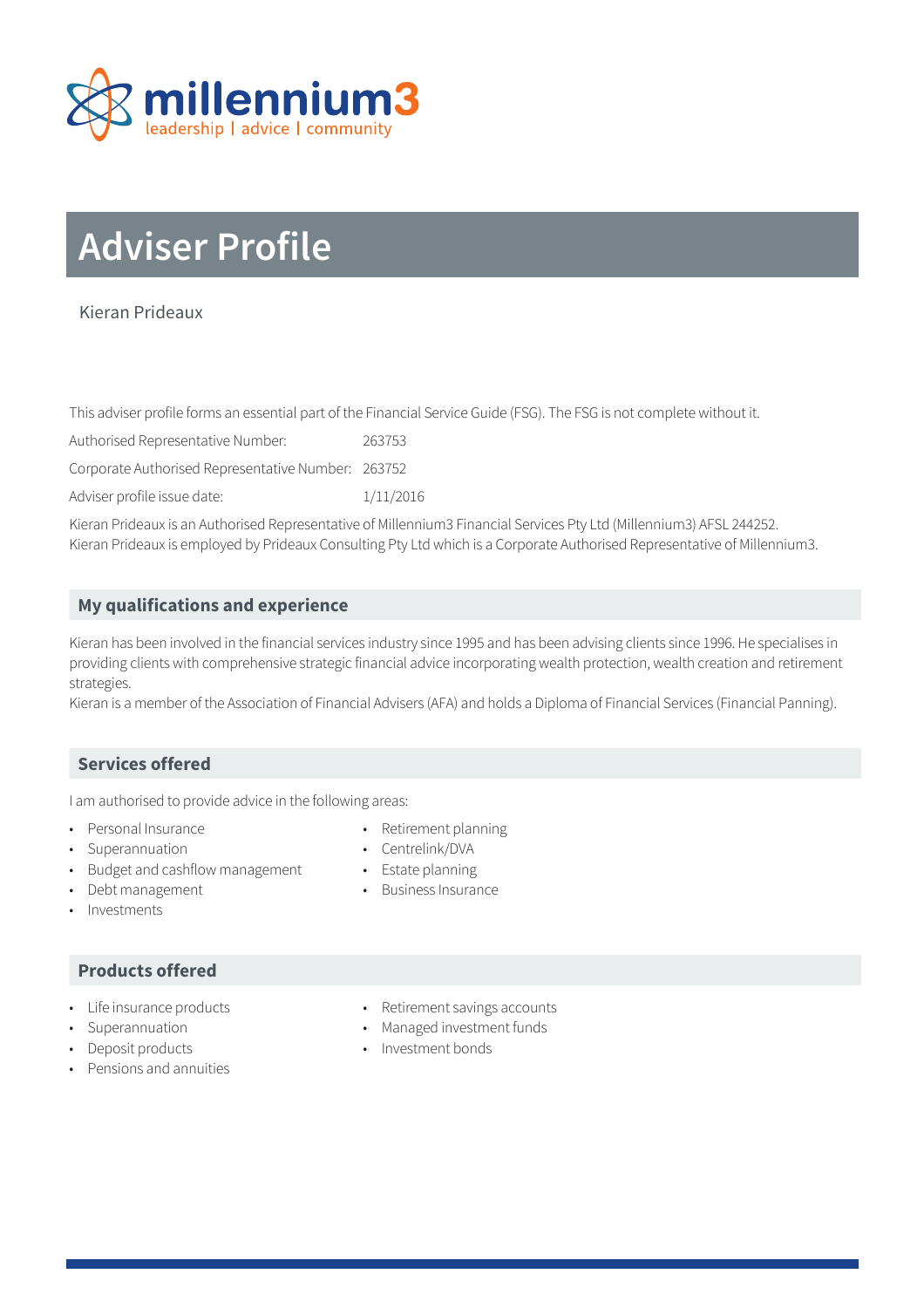

# **Adviser Profile**

# Kieran Prideaux

This adviser profile forms an essential part of the Financial Service Guide (FSG). The FSG is not complete without it.

Authorised Representative Number: 263753

Corporate Authorised Representative Number: 263752

Adviser profile issue date: 1/11/2016

Kieran Prideaux is an Authorised Representative of Millennium3 Financial Services Pty Ltd (Millennium3) AFSL 244252. Kieran Prideaux is employed by Prideaux Consulting Pty Ltd which is a Corporate Authorised Representative of Millennium3.

## **My qualifications and experience**

Kieran has been involved in the financial services industry since 1995 and has been advising clients since 1996. He specialises in providing clients with comprehensive strategic financial advice incorporating wealth protection, wealth creation and retirement strategies.

Kieran is a member of the Association of Financial Advisers (AFA) and holds a Diploma of Financial Services (Financial Panning).

## **Services offered**

I am authorised to provide advice in the following areas:

- Personal Insurance **•** Retirement planning
- Superannuation Centrelink/DVA
- Budget and cashflow management Estate planning
- **Debt management •** Business Insurance
	-
- 
- Investments
	- **Products offered**
- 
- 
- 
- Pensions and annuities
- Life insurance products **•** Retirement savings accounts
- Superannuation Managed investment funds
- Deposit products Investment bonds